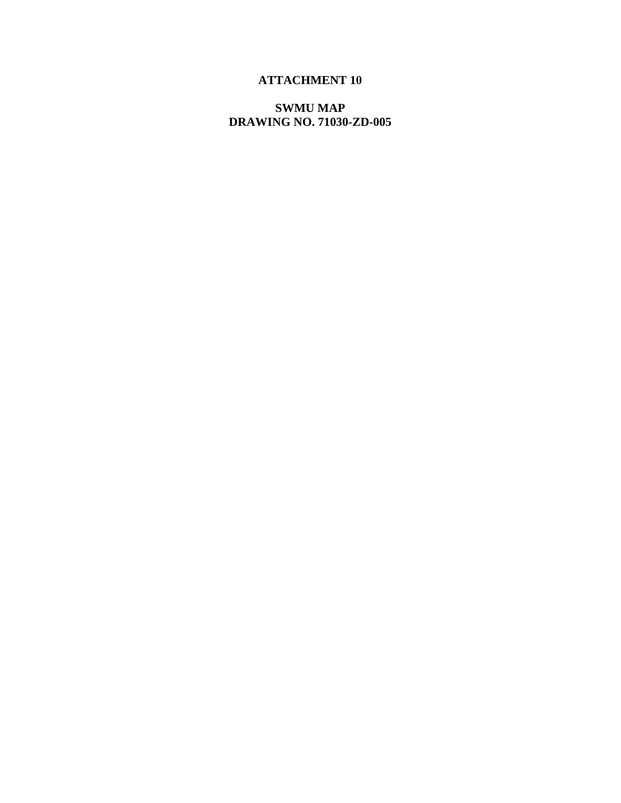## **ATTACHMENT 10**

**SWMU MAP DRAWING NO. 71030-ZD-005**